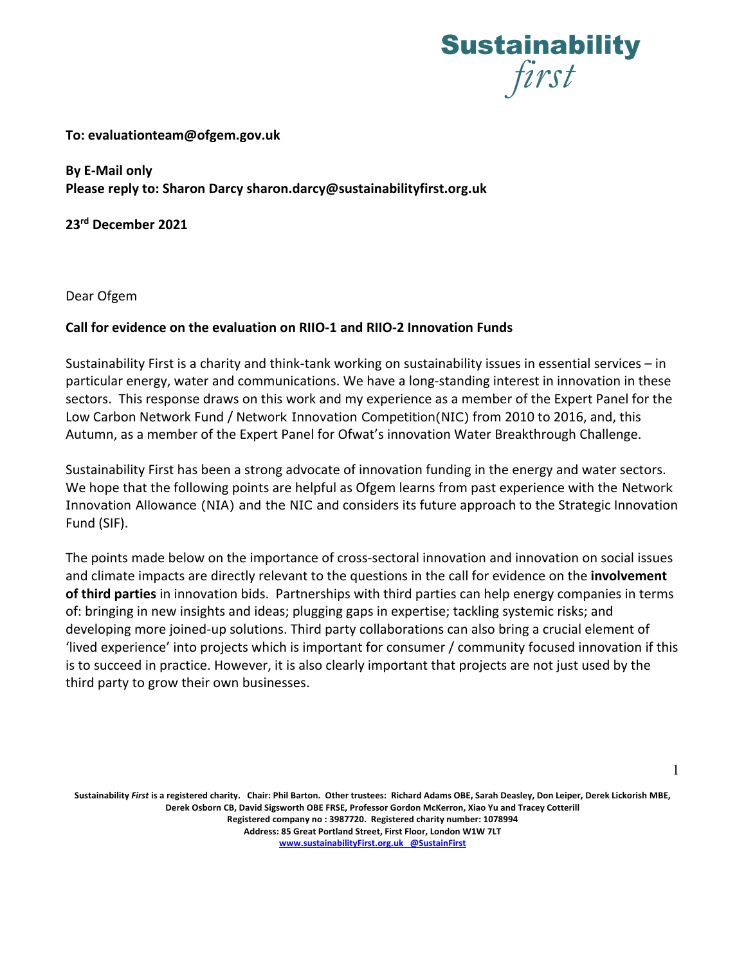

### **To: evaluationteam@ofgem.gov.uk**

**By E-Mail only Please reply to: Sharon Darcy sharon.darcy@sustainabilityfirst.org.uk**

**23rd December 2021**

Dear Ofgem

# **Call for evidence on the evaluation on RIIO-1 and RIIO-2 Innovation Funds**

Sustainability First is a charity and think-tank working on sustainability issues in essential services – in particular energy, water and communications. We have a long-standing interest in innovation in these sectors. This response draws on this work and my experience as a member of the Expert Panel for the Low Carbon Network Fund / Network Innovation Competition(NIC) from 2010 to 2016, and, this Autumn, as a member of the Expert Panel for Ofwat's innovation Water Breakthrough Challenge.

Sustainability First has been a strong advocate of innovation funding in the energy and water sectors. We hope that the following points are helpful as Ofgem learns from past experience with the Network Innovation Allowance (NIA) and the NIC and considers its future approach to the Strategic Innovation Fund (SIF).

The points made below on the importance of cross-sectoral innovation and innovation on social issues and climate impacts are directly relevant to the questions in the call for evidence on the **involvement of third parties** in innovation bids. Partnerships with third parties can help energy companies in terms of: bringing in new insights and ideas; plugging gaps in expertise; tackling systemic risks; and developing more joined-up solutions. Third party collaborations can also bring a crucial element of 'lived experience' into projects which is important for consumer / community focused innovation if this is to succeed in practice. However, it is also clearly important that projects are not just used by the third party to grow their own businesses.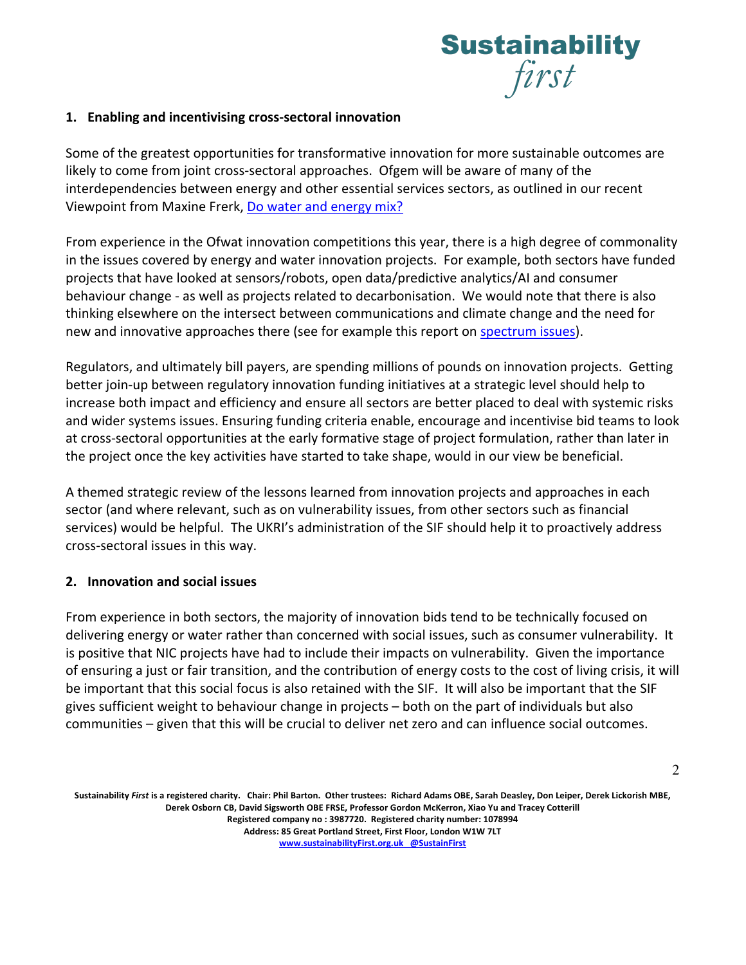

# **1. Enabling and incentivising cross-sectoral innovation**

Some of the greatest opportunities for transformative innovation for more sustainable outcomes are likely to come from joint cross-sectoral approaches. Ofgem will be aware of many of the interdependencies between energy and other essential services sectors, as outlined in our recent Viewpoint from Maxine Frerk, Do water and energy mix?

From experience in the Ofwat innovation competitions this year, there is a high degree of commonality in the issues covered by energy and water innovation projects. For example, both sectors have funded projects that have looked at sensors/robots, open data/predictive analytics/AI and consumer behaviour change - as well as projects related to decarbonisation. We would note that there is also thinking elsewhere on the intersect between communications and climate change and the need for new and innovative approaches there (see for example this report on spectrum issues).

Regulators, and ultimately bill payers, are spending millions of pounds on innovation projects. Getting better join-up between regulatory innovation funding initiatives at a strategic level should help to increase both impact and efficiency and ensure all sectors are better placed to deal with systemic risks and wider systems issues. Ensuring funding criteria enable, encourage and incentivise bid teams to look at cross-sectoral opportunities at the early formative stage of project formulation, rather than later in the project once the key activities have started to take shape, would in our view be beneficial.

A themed strategic review of the lessons learned from innovation projects and approaches in each sector (and where relevant, such as on vulnerability issues, from other sectors such as financial services) would be helpful. The UKRI's administration of the SIF should help it to proactively address cross-sectoral issues in this way.

# **2. Innovation and social issues**

From experience in both sectors, the majority of innovation bids tend to be technically focused on delivering energy or water rather than concerned with social issues, such as consumer vulnerability. It is positive that NIC projects have had to include their impacts on vulnerability. Given the importance of ensuring a just or fair transition, and the contribution of energy costs to the cost of living crisis, it will be important that this social focus is also retained with the SIF. It will also be important that the SIF gives sufficient weight to behaviour change in projects – both on the part of individuals but also communities – given that this will be crucial to deliver net zero and can influence social outcomes.

**Sustainability** *First* **is a registered charity. Chair: Phil Barton. Other trustees: Richard Adams OBE, Sarah Deasley, Don Leiper, Derek Lickorish MBE, Derek Osborn CB, David Sigsworth OBE FRSE, Professor Gordon McKerron, Xiao Yu and Tracey Cotterill Registered company no : 3987720. Registered charity number: 1078994 Address: 85 Great Portland Street, First Floor, London W1W 7LT www.sustainabilityFirst.org.uk @SustainFirst**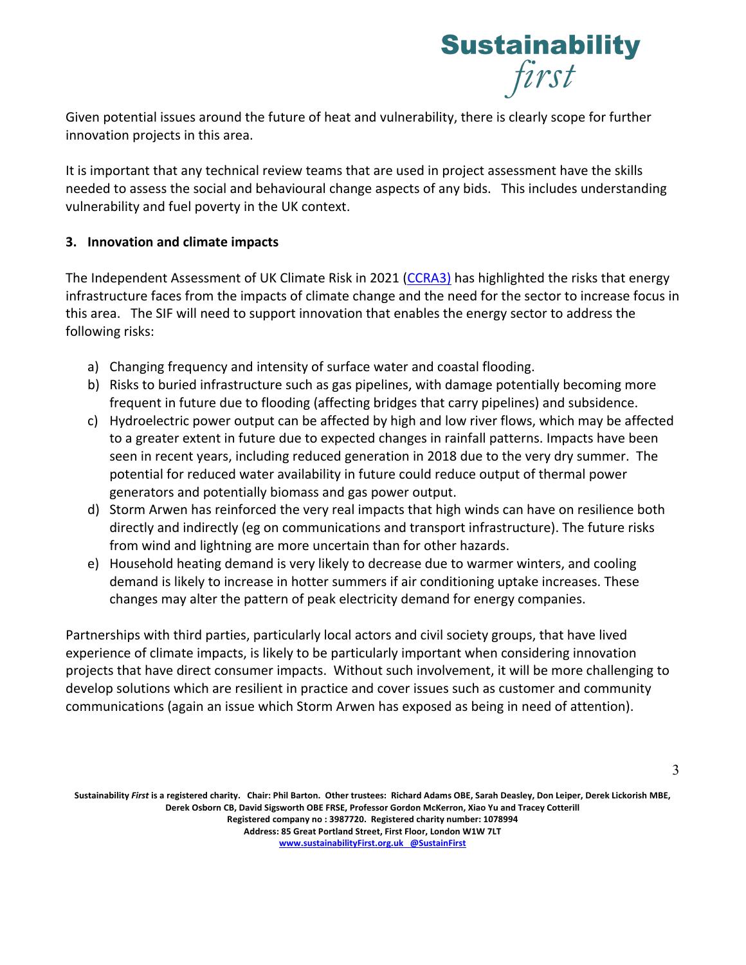

Given potential issues around the future of heat and vulnerability, there is clearly scope for further innovation projects in this area.

It is important that any technical review teams that are used in project assessment have the skills needed to assess the social and behavioural change aspects of any bids. This includes understanding vulnerability and fuel poverty in the UK context.

# **3. Innovation and climate impacts**

The Independent Assessment of UK Climate Risk in 2021 (CCRA3) has highlighted the risks that energy infrastructure faces from the impacts of climate change and the need for the sector to increase focus in this area. The SIF will need to support innovation that enables the energy sector to address the following risks:

- a) Changing frequency and intensity of surface water and coastal flooding.
- b) Risks to buried infrastructure such as gas pipelines, with damage potentially becoming more frequent in future due to flooding (affecting bridges that carry pipelines) and subsidence.
- c) Hydroelectric power output can be affected by high and low river flows, which may be affected to a greater extent in future due to expected changes in rainfall patterns. Impacts have been seen in recent years, including reduced generation in 2018 due to the very dry summer. The potential for reduced water availability in future could reduce output of thermal power generators and potentially biomass and gas power output.
- d) Storm Arwen has reinforced the very real impacts that high winds can have on resilience both directly and indirectly (eg on communications and transport infrastructure). The future risks from wind and lightning are more uncertain than for other hazards.
- e) Household heating demand is very likely to decrease due to warmer winters, and cooling demand is likely to increase in hotter summers if air conditioning uptake increases. These changes may alter the pattern of peak electricity demand for energy companies.

Partnerships with third parties, particularly local actors and civil society groups, that have lived experience of climate impacts, is likely to be particularly important when considering innovation projects that have direct consumer impacts. Without such involvement, it will be more challenging to develop solutions which are resilient in practice and cover issues such as customer and community communications (again an issue which Storm Arwen has exposed as being in need of attention).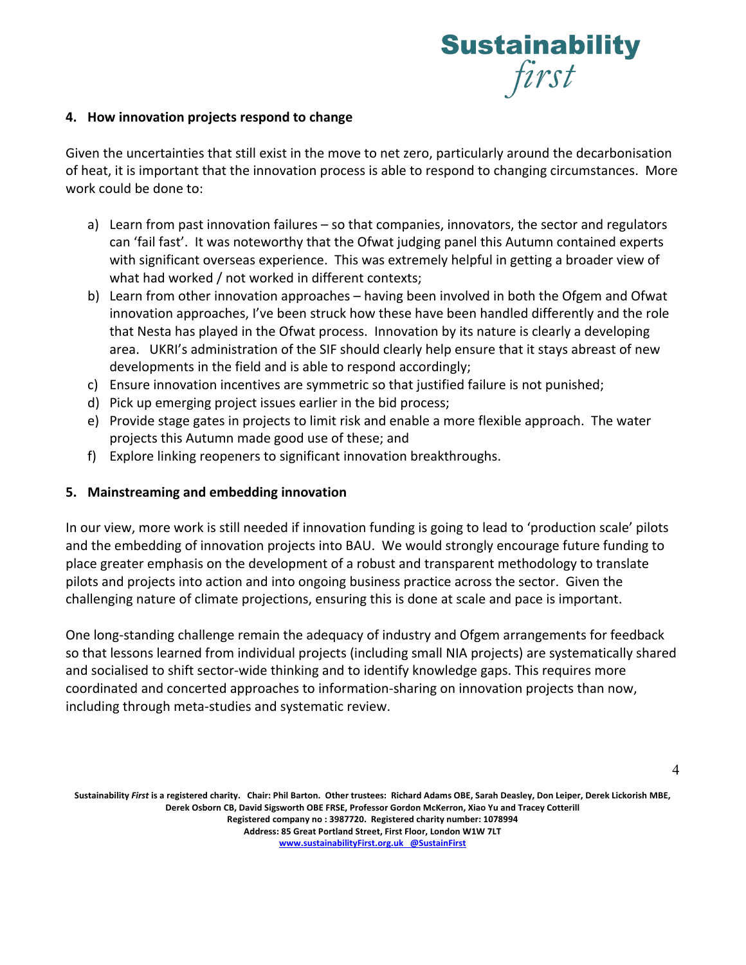

# **4. How innovation projects respond to change**

Given the uncertainties that still exist in the move to net zero, particularly around the decarbonisation of heat, it is important that the innovation process is able to respond to changing circumstances. More work could be done to:

- a) Learn from past innovation failures so that companies, innovators, the sector and regulators can 'fail fast'. It was noteworthy that the Ofwat judging panel this Autumn contained experts with significant overseas experience. This was extremely helpful in getting a broader view of what had worked / not worked in different contexts;
- b) Learn from other innovation approaches having been involved in both the Ofgem and Ofwat innovation approaches, I've been struck how these have been handled differently and the role that Nesta has played in the Ofwat process. Innovation by its nature is clearly a developing area. UKRI's administration of the SIF should clearly help ensure that it stays abreast of new developments in the field and is able to respond accordingly;
- c) Ensure innovation incentives are symmetric so that justified failure is not punished;
- d) Pick up emerging project issues earlier in the bid process;
- e) Provide stage gates in projects to limit risk and enable a more flexible approach. The water projects this Autumn made good use of these; and
- f) Explore linking reopeners to significant innovation breakthroughs.

# **5. Mainstreaming and embedding innovation**

In our view, more work is still needed if innovation funding is going to lead to 'production scale' pilots and the embedding of innovation projects into BAU. We would strongly encourage future funding to place greater emphasis on the development of a robust and transparent methodology to translate pilots and projects into action and into ongoing business practice across the sector. Given the challenging nature of climate projections, ensuring this is done at scale and pace is important.

One long-standing challenge remain the adequacy of industry and Ofgem arrangements for feedback so that lessons learned from individual projects (including small NIA projects) are systematically shared and socialised to shift sector-wide thinking and to identify knowledge gaps. This requires more coordinated and concerted approaches to information-sharing on innovation projects than now, including through meta-studies and systematic review.